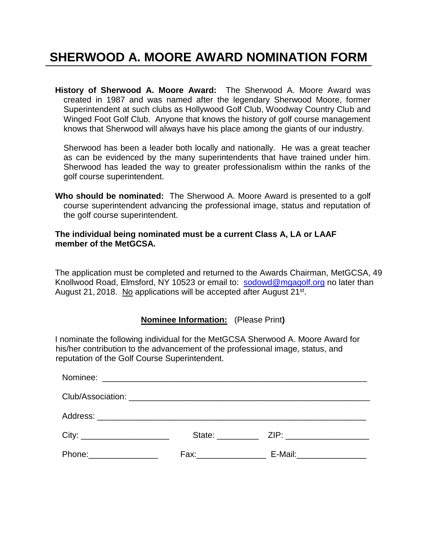# **SHERWOOD A. MOORE AWARD NOMINATION FORM**

**History of Sherwood A. Moore Award:** The Sherwood A. Moore Award was created in 1987 and was named after the legendary Sherwood Moore, former Superintendent at such clubs as Hollywood Golf Club, Woodway Country Club and Winged Foot Golf Club. Anyone that knows the history of golf course management knows that Sherwood will always have his place among the giants of our industry.

 Sherwood has been a leader both locally and nationally. He was a great teacher as can be evidenced by the many superintendents that have trained under him. Sherwood has leaded the way to greater professionalism within the ranks of the golf course superintendent.

**Who should be nominated:** The Sherwood A. Moore Award is presented to a golf course superintendent advancing the professional image, status and reputation of the golf course superintendent.

#### **The individual being nominated must be a current Class A, LA or LAAF member of the MetGCSA.**

The application must be completed and returned to the Awards Chairman, MetGCSA, 49 Knollwood Road, Elmsford, NY 10523 or email to: [sodowd@mgagolf.org](mailto:sodowd@mgagolf.org) no later than August 21, 2018. No applications will be accepted after August 21<sup>st</sup>.

#### **Nominee Information:** (Please Print**)**

I nominate the following individual for the MetGCSA Sherwood A. Moore Award for his/her contribution to the advancement of the professional image, status, and reputation of the Golf Course Superintendent.

| Phone: ________________ | E-Mail: ___________________ |
|-------------------------|-----------------------------|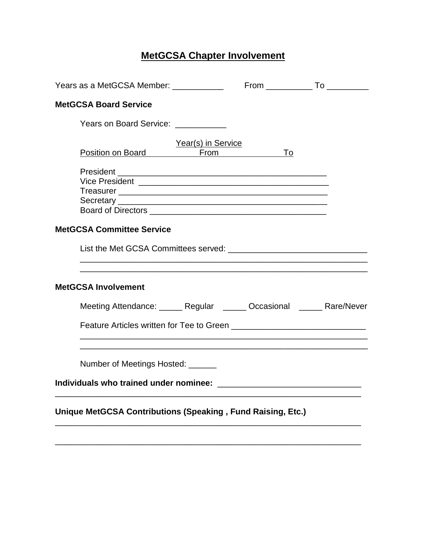## **MetGCSA Chapter Involvement**

| <b>MetGCSA Board Service</b>                                           |                    |    |  |
|------------------------------------------------------------------------|--------------------|----|--|
| Years on Board Service: ___________                                    |                    |    |  |
| Position on Board From                                                 | Year(s) in Service | To |  |
| <b>MetGCSA Committee Service</b>                                       |                    |    |  |
| <b>MetGCSA Involvement</b>                                             |                    |    |  |
| Meeting Attendance: ______ Regular ______ Occasional ______ Rare/Never |                    |    |  |
| Number of Meetings Hosted: ______                                      |                    |    |  |
| Unique MetGCSA Contributions (Speaking, Fund Raising, Etc.)            |                    |    |  |

\_\_\_\_\_\_\_\_\_\_\_\_\_\_\_\_\_\_\_\_\_\_\_\_\_\_\_\_\_\_\_\_\_\_\_\_\_\_\_\_\_\_\_\_\_\_\_\_\_\_\_\_\_\_\_\_\_\_\_\_\_\_\_\_\_\_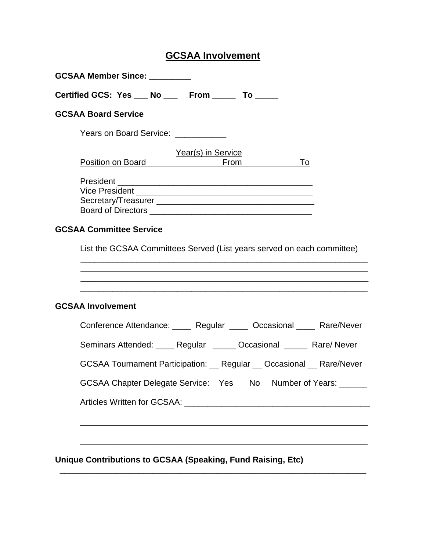### **GCSAA Involvement**

| Certified GCS: Yes ___ No ___ From _____ To ____                                                                                                                    |
|---------------------------------------------------------------------------------------------------------------------------------------------------------------------|
| <b>GCSAA Board Service</b>                                                                                                                                          |
| Years on Board Service: __________                                                                                                                                  |
| Year(s) in Service                                                                                                                                                  |
| Position on Board <b>Providence</b><br>From <u>Letter</u><br>To                                                                                                     |
|                                                                                                                                                                     |
|                                                                                                                                                                     |
| Board of Directors <b>Exercise 2008</b>                                                                                                                             |
| <b>GCSAA Committee Service</b>                                                                                                                                      |
| List the GCSAA Committees Served (List years served on each committee)                                                                                              |
| <b>GCSAA Involvement</b>                                                                                                                                            |
|                                                                                                                                                                     |
| Seminars Attended: Regular Cocasional Rare/Never                                                                                                                    |
|                                                                                                                                                                     |
| GCSAA Chapter Delegate Service: Yes No                                                                                                                              |
| Conference Attendance: _____ Regular _____ Occasional ____ Rare/Never<br>GCSAA Tournament Participation: __ Regular __ Occasional __ Rare/Never<br>Number of Years: |

 $\overline{\phantom{a}}$  , and the contribution of the contribution of the contribution of the contribution of the contribution of the contribution of the contribution of the contribution of the contribution of the contribution of the